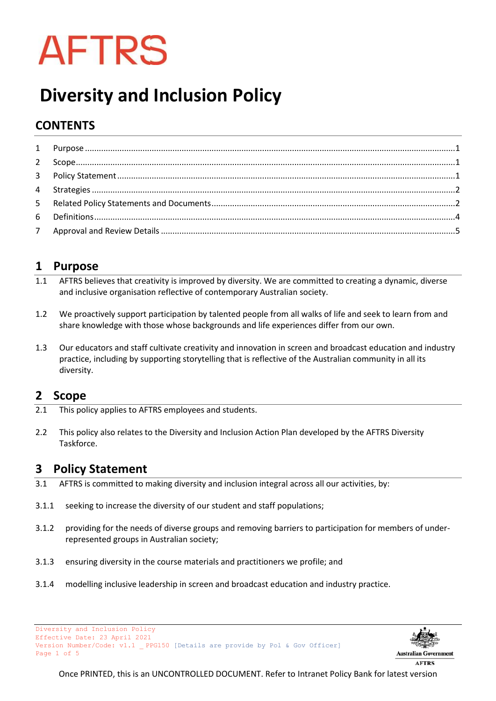

# **Diversity and Inclusion Policy**

# **CONTENTS**

# <span id="page-0-0"></span>**1 Purpose**

- 1.1 AFTRS believes that creativity is improved by diversity. We are committed to creating a dynamic, diverse and inclusive organisation reflective of contemporary Australian society.
- 1.2 We proactively support participation by talented people from all walks of life and seek to learn from and share knowledge with those whose backgrounds and life experiences differ from our own.
- 1.3 Our educators and staff cultivate creativity and innovation in screen and broadcast education and industry practice, including by supporting storytelling that is reflective of the Australian community in all its diversity.

### <span id="page-0-1"></span>**2 Scope**

- 2.1 This policy applies to AFTRS employees and students.
- 2.2 This policy also relates to the Diversity and Inclusion Action Plan developed by the AFTRS Diversity Taskforce.

# <span id="page-0-2"></span>**3 Policy Statement**

- 3.1 AFTRS is committed to making diversity and inclusion integral across all our activities, by:
- 3.1.1 seeking to increase the diversity of our student and staff populations;
- 3.1.2 providing for the needs of diverse groups and removing barriers to participation for members of underrepresented groups in Australian society;
- 3.1.3 ensuring diversity in the course materials and practitioners we profile; and
- 3.1.4 modelling inclusive leadership in screen and broadcast education and industry practice.





**AFTRS**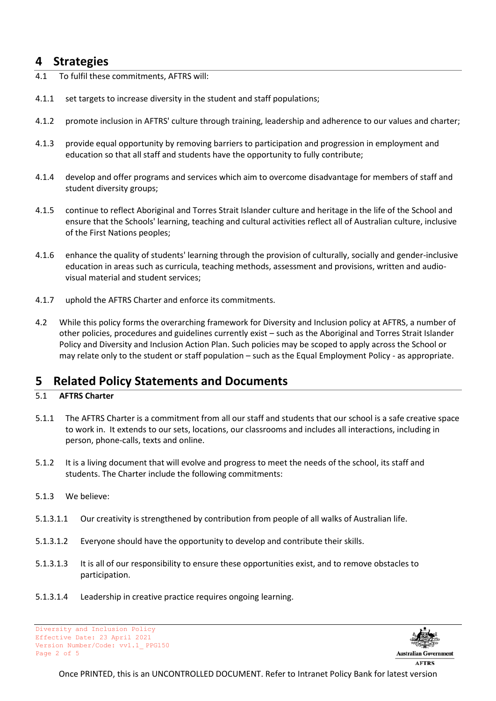## <span id="page-1-0"></span>**4 Strategies**

- 4.1 To fulfil these commitments, AFTRS will:
- 4.1.1 set targets to increase diversity in the student and staff populations;
- 4.1.2 promote inclusion in AFTRS' culture through training, leadership and adherence to our values and charter;
- 4.1.3 provide equal opportunity by removing barriers to participation and progression in employment and education so that all staff and students have the opportunity to fully contribute;
- 4.1.4 develop and offer programs and services which aim to overcome disadvantage for members of staff and student diversity groups;
- 4.1.5 continue to reflect Aboriginal and Torres Strait Islander culture and heritage in the life of the School and ensure that the Schools' learning, teaching and cultural activities reflect all of Australian culture, inclusive of the First Nations peoples;
- 4.1.6 enhance the quality of students' learning through the provision of culturally, socially and gender-inclusive education in areas such as curricula, teaching methods, assessment and provisions, written and audiovisual material and student services;
- 4.1.7 uphold the AFTRS Charter and enforce its commitments.
- 4.2 While this policy forms the overarching framework for Diversity and Inclusion policy at AFTRS, a number of other policies, procedures and guidelines currently exist – such as the Aboriginal and Torres Strait Islander Policy and Diversity and Inclusion Action Plan. Such policies may be scoped to apply across the School or may relate only to the student or staff population – such as the Equal Employment Policy - as appropriate.

# <span id="page-1-1"></span>**5 Related Policy Statements and Documents**

#### 5.1 **AFTRS Charter**

- 5.1.1 The AFTRS Charter is a commitment from all our staff and students that our school is a safe creative space to work in. It extends to our sets, locations, our classrooms and includes all interactions, including in person, phone-calls, texts and online.
- 5.1.2 It is a living document that will evolve and progress to meet the needs of the school, its staff and students. The Charter include the following commitments:
- 5.1.3 We believe:
- 5.1.3.1.1 Our creativity is strengthened by contribution from people of all walks of Australian life.
- 5.1.3.1.2 Everyone should have the opportunity to develop and contribute their skills.
- 5.1.3.1.3 It is all of our responsibility to ensure these opportunities exist, and to remove obstacles to participation.
- 5.1.3.1.4 Leadership in creative practice requires ongoing learning.

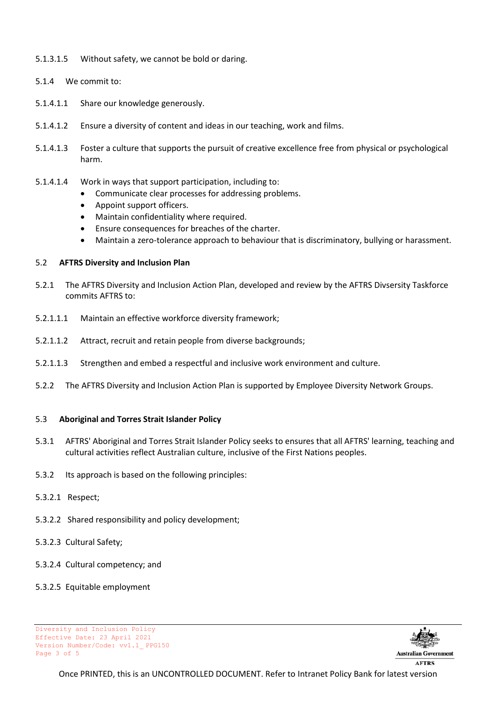- 5.1.3.1.5 Without safety, we cannot be bold or daring.
- 5.1.4 We commit to:
- 5.1.4.1.1 Share our knowledge generously.
- 5.1.4.1.2 Ensure a diversity of content and ideas in our teaching, work and films.
- 5.1.4.1.3 Foster a culture that supports the pursuit of creative excellence free from physical or psychological harm.
- 5.1.4.1.4 Work in ways that support participation, including to:
	- Communicate clear processes for addressing problems.
	- Appoint support officers.
	- Maintain confidentiality where required.
	- Ensure consequences for breaches of the charter.
	- Maintain a zero-tolerance approach to behaviour that is discriminatory, bullying or harassment.

#### 5.2 **AFTRS Diversity and Inclusion Plan**

- 5.2.1 The AFTRS Diversity and Inclusion Action Plan, developed and review by the AFTRS Divsersity Taskforce commits AFTRS to:
- 5.2.1.1.1 Maintain an effective workforce diversity framework;
- 5.2.1.1.2 Attract, recruit and retain people from diverse backgrounds;
- 5.2.1.1.3 Strengthen and embed a respectful and inclusive work environment and culture.
- 5.2.2 The AFTRS Diversity and Inclusion Action Plan is supported by Employee Diversity Network Groups.

#### 5.3 **Aboriginal and Torres Strait Islander Policy**

- 5.3.1 AFTRS' Aboriginal and Torres Strait Islander Policy seeks to ensures that all AFTRS' learning, teaching and cultural activities reflect Australian culture, inclusive of the First Nations peoples.
- 5.3.2 Its approach is based on the following principles:
- 5.3.2.1 Respect;
- 5.3.2.2 Shared responsibility and policy development;
- 5.3.2.3 Cultural Safety;
- 5.3.2.4 Cultural competency; and
- 5.3.2.5 Equitable employment

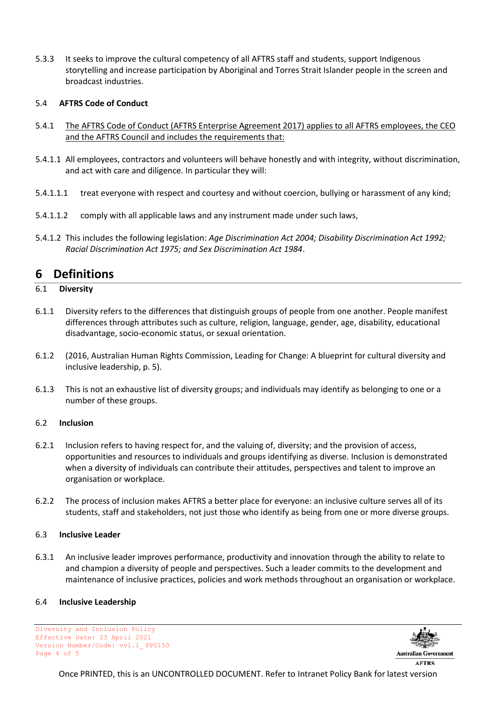5.3.3 It seeks to improve the cultural competency of all AFTRS staff and students, support Indigenous storytelling and increase participation by Aboriginal and Torres Strait Islander people in the screen and broadcast industries.

#### 5.4 **AFTRS Code of Conduct**

- 5.4.1 The AFTRS Code of Conduct (AFTRS Enterprise Agreement 2017) applies to all AFTRS employees, the CEO and the AFTRS Council and includes the requirements that:
- 5.4.1.1 All employees, contractors and volunteers will behave honestly and with integrity, without discrimination, and act with care and diligence. In particular they will:
- 5.4.1.1.1 treat everyone with respect and courtesy and without coercion, bullying or harassment of any kind;
- 5.4.1.1.2 comply with all applicable laws and any instrument made under such laws,
- 5.4.1.2 This includes the following legislation: *Age Discrimination Act 2004; Disability Discrimination Act 1992; Racial Discrimination Act 1975; and Sex Discrimination Act 1984*.

### <span id="page-3-0"></span>**6 Definitions**

- 6.1 **Diversity**
- 6.1.1 Diversity refers to the differences that distinguish groups of people from one another. People manifest differences through attributes such as culture, religion, language, gender, age, disability, educational disadvantage, socio-economic status, or sexual orientation.
- 6.1.2 (2016, Australian Human Rights Commission, Leading for Change: A blueprint for cultural diversity and inclusive leadership, p. 5).
- 6.1.3 This is not an exhaustive list of diversity groups; and individuals may identify as belonging to one or a number of these groups.

#### 6.2 **Inclusion**

- 6.2.1 Inclusion refers to having respect for, and the valuing of, diversity; and the provision of access, opportunities and resources to individuals and groups identifying as diverse. Inclusion is demonstrated when a diversity of individuals can contribute their attitudes, perspectives and talent to improve an organisation or workplace.
- 6.2.2 The process of inclusion makes AFTRS a better place for everyone: an inclusive culture serves all of its students, staff and stakeholders, not just those who identify as being from one or more diverse groups.

#### 6.3 **Inclusive Leader**

6.3.1 An inclusive leader improves performance, productivity and innovation through the ability to relate to and champion a diversity of people and perspectives. Such a leader commits to the development and maintenance of inclusive practices, policies and work methods throughout an organisation or workplace.

#### 6.4 **Inclusive Leadership**

Diversity and Inclusion Policy Effective Date: 23 April 2021 Version Number/Code: vv1.1\_ PPG150 Page 4 of 5